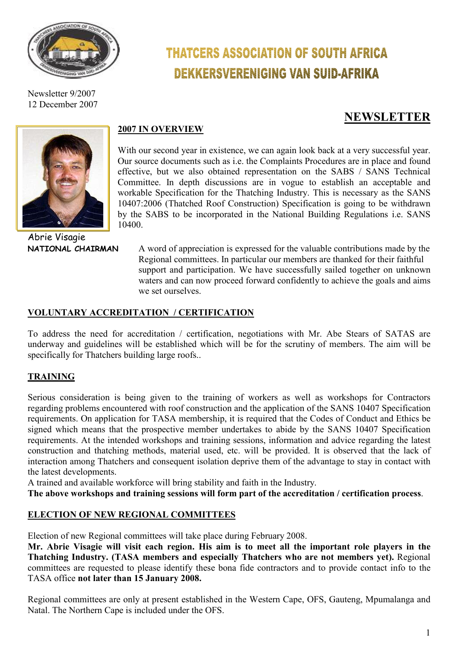

Newsletter 9/2007 12 December 2007

# **THATCERS ASSOCIATION OF SOUTH AFRICA DEKKERSVERENIGING VAN SUID-AFRIKA**

# **NEWSLETTER**



Abrie Visagie

# **2007 IN OVERVIEW**

With our second year in existence, we can again look back at a very successful year. Our source documents such as i.e. the Complaints Procedures are in place and found effective, but we also obtained representation on the SABS / SANS Technical Committee. In depth discussions are in vogue to establish an acceptable and workable Specification for the Thatching Industry. This is necessary as the SANS 10407:2006 (Thatched Roof Construction) Specification is going to be withdrawn by the SABS to be incorporated in the National Building Regulations i.e. SANS 10400.

**NATIONAL CHAIRMAN** A word of appreciation is expressed for the valuable contributions made by the Regional committees. In particular our members are thanked for their faithful support and participation. We have successfully sailed together on unknown waters and can now proceed forward confidently to achieve the goals and aims we set ourselves.

#### **VOLUNTARY ACCREDITATION / CERTIFICATION**

To address the need for accreditation / certification, negotiations with Mr. Abe Stears of SATAS are underway and guidelines will be established which will be for the scrutiny of members. The aim will be specifically for Thatchers building large roofs..

# **TRAINING**

Serious consideration is being given to the training of workers as well as workshops for Contractors regarding problems encountered with roof construction and the application of the SANS 10407 Specification requirements. On application for TASA membership, it is required that the Codes of Conduct and Ethics be signed which means that the prospective member undertakes to abide by the SANS 10407 Specification requirements. At the intended workshops and training sessions, information and advice regarding the latest construction and thatching methods, material used, etc. will be provided. It is observed that the lack of interaction among Thatchers and consequent isolation deprive them of the advantage to stay in contact with the latest developments.

A trained and available workforce will bring stability and faith in the Industry.

**The above workshops and training sessions will form part of the accreditation / certification process**.

#### **ELECTION OF NEW REGIONAL COMMITTEES**

Election of new Regional committees will take place during February 2008.

**Mr. Abrie Visagie will visit each region. His aim is to meet all the important role players in the Thatching Industry. (TASA members and especially Thatchers who are not members yet).** Regional committees are requested to please identify these bona fide contractors and to provide contact info to the TASA office **not later than 15 January 2008.** 

Regional committees are only at present established in the Western Cape, OFS, Gauteng, Mpumalanga and Natal. The Northern Cape is included under the OFS.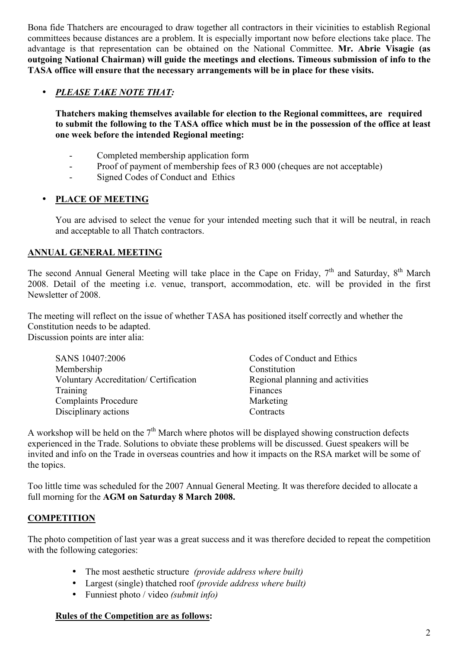Bona fide Thatchers are encouraged to draw together all contractors in their vicinities to establish Regional committees because distances are a problem. It is especially important now before elections take place. The advantage is that representation can be obtained on the National Committee. **Mr. Abrie Visagie (as outgoing National Chairman) will guide the meetings and elections. Timeous submission of info to the TASA office will ensure that the necessary arrangements will be in place for these visits.** 

### • *PLEASE TAKE NOTE THAT:*

**Thatchers making themselves available for election to the Regional committees, are required to submit the following to the TASA office which must be in the possession of the office at least one week before the intended Regional meeting:** 

- Completed membership application form
- Proof of payment of membership fees of R3 000 (cheques are not acceptable)
- Signed Codes of Conduct and Ethics

#### • **PLACE OF MEETING**

You are advised to select the venue for your intended meeting such that it will be neutral, in reach and acceptable to all Thatch contractors.

#### **ANNUAL GENERAL MEETING**

The second Annual General Meeting will take place in the Cape on Friday,  $7<sup>th</sup>$  and Saturday,  $8<sup>th</sup>$  March 2008. Detail of the meeting i.e. venue, transport, accommodation, etc. will be provided in the first Newsletter of 2008.

The meeting will reflect on the issue of whether TASA has positioned itself correctly and whether the Constitution needs to be adapted. Discussion points are inter alia:

| SANS 10407:2006                               | Codes of Conduct and Ethics      |
|-----------------------------------------------|----------------------------------|
| Membership                                    | Constitution                     |
| <b>Voluntary Accreditation/ Certification</b> | Regional planning and activities |
| Training                                      | Finances                         |
| <b>Complaints Procedure</b>                   | Marketing                        |
| Disciplinary actions                          | Contracts                        |
|                                               |                                  |

A workshop will be held on the  $7<sup>th</sup>$  March where photos will be displayed showing construction defects experienced in the Trade. Solutions to obviate these problems will be discussed. Guest speakers will be invited and info on the Trade in overseas countries and how it impacts on the RSA market will be some of the topics.

Too little time was scheduled for the 2007 Annual General Meeting. It was therefore decided to allocate a full morning for the **AGM on Saturday 8 March 2008.** 

# **COMPETITION**

The photo competition of last year was a great success and it was therefore decided to repeat the competition with the following categories:

- The most aesthetic structure *(provide address where built)*
- Largest (single) thatched roof *(provide address where built)*
- Funniest photo / video *(submit info)*

#### **Rules of the Competition are as follows:**